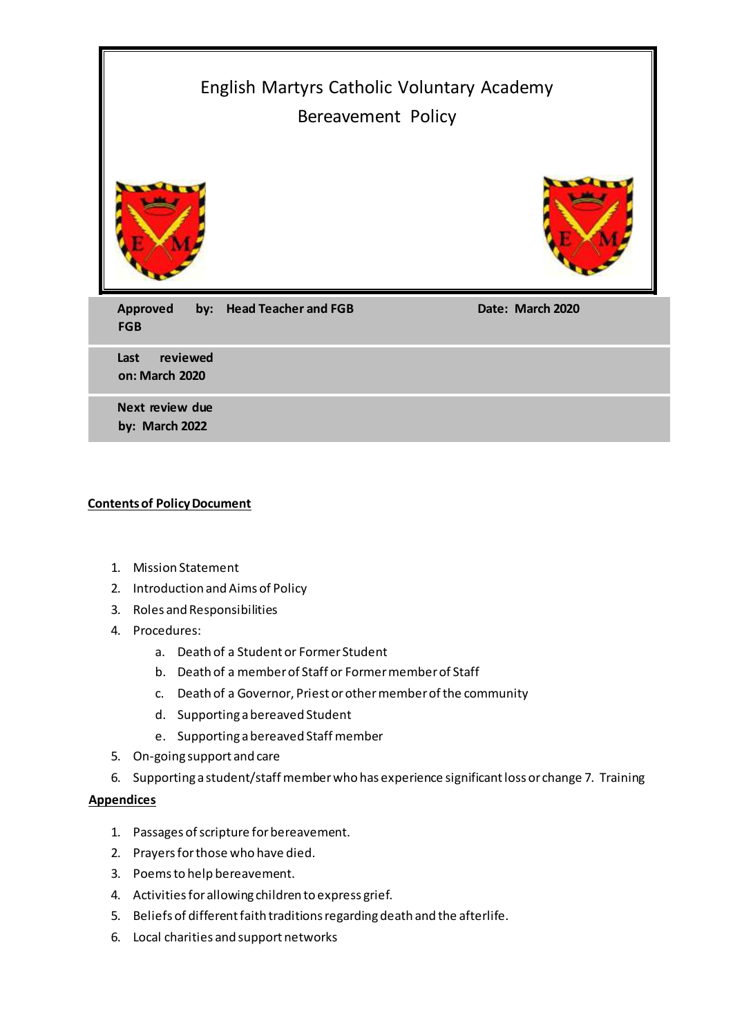| English Martyrs Catholic Voluntary Academy<br>Bereavement Policy |                          |                  |
|------------------------------------------------------------------|--------------------------|------------------|
|                                                                  |                          |                  |
| <b>Approved</b><br><b>FGB</b>                                    | by: Head Teacher and FGB | Date: March 2020 |
| reviewed<br>Last<br>on: March 2020                               |                          |                  |
| Next review due<br>by: March 2022                                |                          |                  |

#### **Contents of Policy Document**

- 1. Mission Statement
- 2. Introduction and Aims of Policy
- 3. Roles and Responsibilities
- 4. Procedures:
	- a. Death of a Student or Former Student
	- b. Death of a member of Staff or Former member of Staff
	- c. Death of a Governor, Priest or other member of the community
	- d. Supporting a bereaved Student
	- e. Supporting a bereaved Staff member
- 5. On-going support and care
- 6. Supporting a student/staff member who has experience significant loss or change 7. Training

#### **Appendices**

- 1. Passages of scripture for bereavement.
- 2. Prayers for those who have died.
- 3. Poems to help bereavement.
- 4. Activities for allowing children to express grief.
- 5. Beliefs of different faith traditions regarding death and the afterlife.
- 6. Local charities and support networks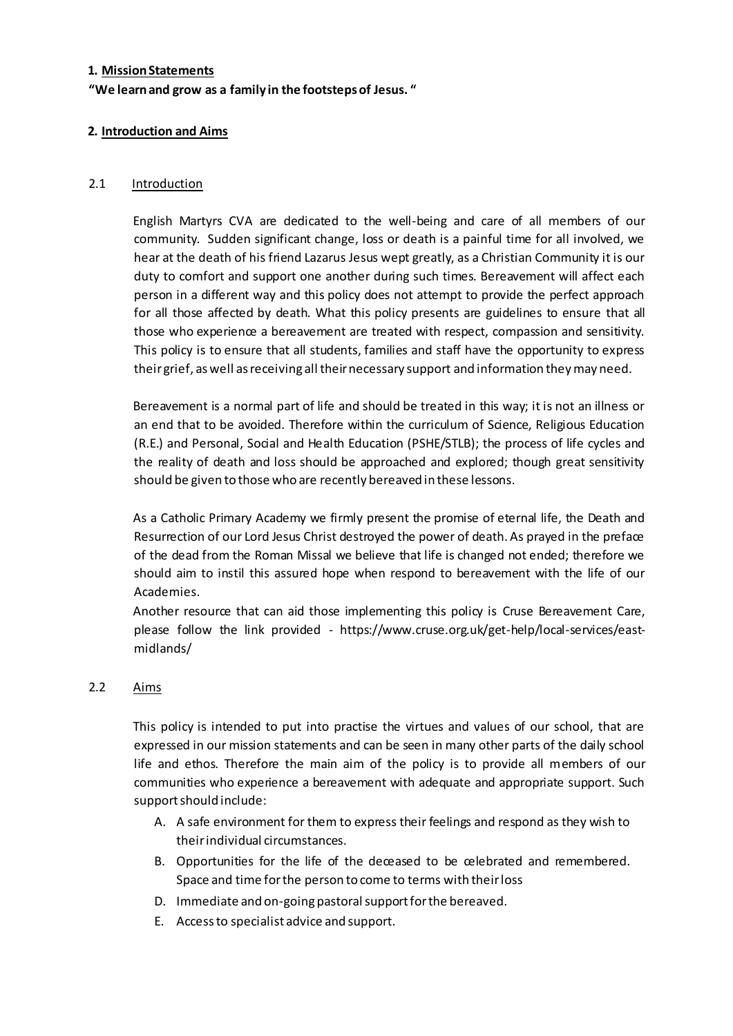#### **1. Mission Statements**

## **"We learn and grow as a family in the footsteps of Jesus. "**

#### **2. Introduction and Aims**

#### 2.1 Introduction

English Martyrs CVA are dedicated to the well-being and care of all members of our community. Sudden significant change, loss or death is a painful time for all involved, we hear at the death of his friend Lazarus Jesus wept greatly, as a Christian Community it is our duty to comfort and support one another during such times. Bereavement will affect each person in a different way and this policy does not attempt to provide the perfect approach for all those affected by death. What this policy presents are guidelines to ensure that all those who experience a bereavement are treated with respect, compassion and sensitivity. This policy is to ensure that all students, families and staff have the opportunity to express their grief, as well as receiving all their necessary support and information they may need.

Bereavement is a normal part of life and should be treated in this way; it is not an illness or an end that to be avoided. Therefore within the curriculum of Science, Religious Education (R.E.) and Personal, Social and Health Education (PSHE/STLB); the process of life cycles and the reality of death and loss should be approached and explored; though great sensitivity should be given to those who are recently bereaved in these lessons.

As a Catholic Primary Academy we firmly present the promise of eternal life, the Death and Resurrection of our Lord Jesus Christ destroyed the power of death. As prayed in the preface of the dead from the Roman Missal we believe that life is changed not ended; therefore we should aim to instil this assured hope when respond to bereavement with the life of our Academies.

Another resource that can aid those implementing this policy is Cruse Bereavement Care, please follow the link provided - https://www.cruse.org.uk/get-help/local-services/eastmidlands/

## 2.2 Aims

This policy is intended to put into practise the virtues and values of our school, that are expressed in our mission statements and can be seen in many other parts of the daily school life and ethos. Therefore the main aim of the policy is to provide all members of our communities who experience a bereavement with adequate and appropriate support. Such support should include:

- A. A safe environment for them to express their feelings and respond as they wish to their individual circumstances.
- B. Opportunities for the life of the deceased to be celebrated and remembered. Space and time for the person to come to terms with their loss
- D. Immediate and on-going pastoral support for the bereaved.
- E. Access to specialist advice and support.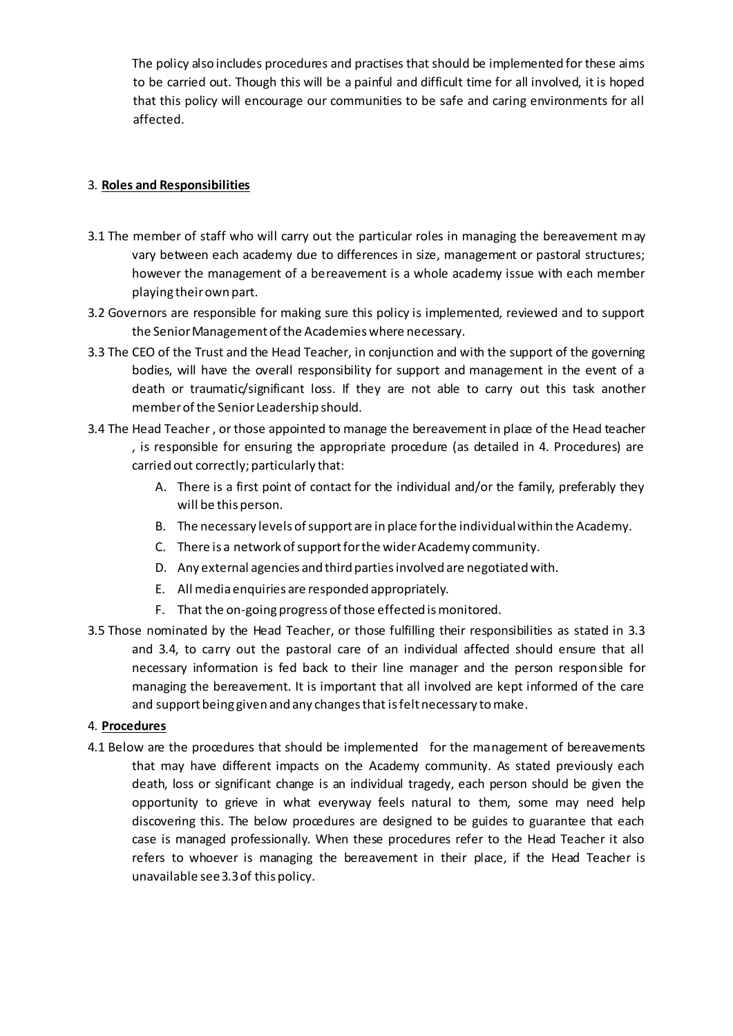The policy also includes procedures and practises that should be implemented for these aims to be carried out. Though this will be a painful and difficult time for all involved, it is hoped that this policy will encourage our communities to be safe and caring environments for all affected.

## 3. **Roles and Responsibilities**

- 3.1 The member of staff who will carry out the particular roles in managing the bereavement may vary between each academy due to differences in size, management or pastoral structures; however the management of a bereavement is a whole academy issue with each member playing their own part.
- 3.2 Governors are responsible for making sure this policy is implemented, reviewed and to support the Senior Management of the Academies where necessary.
- 3.3 The CEO of the Trust and the Head Teacher, in conjunction and with the support of the governing bodies, will have the overall responsibility for support and management in the event of a death or traumatic/significant loss. If they are not able to carry out this task another member of the Senior Leadership should.
- 3.4 The Head Teacher , or those appointed to manage the bereavement in place of the Head teacher , is responsible for ensuring the appropriate procedure (as detailed in 4. Procedures) are carried out correctly; particularly that:
	- A. There is a first point of contact for the individual and/or the family, preferably they will be this person.
	- B. The necessary levels of support are in place for the individual within the Academy.
	- C. There is a network of support for the wider Academy community.
	- D. Any external agencies and third parties involved are negotiated with.
	- E. All media enquiries are responded appropriately.
	- F. That the on-going progress of those effected is monitored.
- 3.5 Those nominated by the Head Teacher, or those fulfilling their responsibilities as stated in 3.3 and 3.4, to carry out the pastoral care of an individual affected should ensure that all necessary information is fed back to their line manager and the person responsible for managing the bereavement. It is important that all involved are kept informed of the care and support being given and any changes that is felt necessary to make.

## 4. **Procedures**

4.1 Below are the procedures that should be implemented for the management of bereavements that may have different impacts on the Academy community. As stated previously each death, loss or significant change is an individual tragedy, each person should be given the opportunity to grieve in what everyway feels natural to them, some may need help discovering this. The below procedures are designed to be guides to guarantee that each case is managed professionally. When these procedures refer to the Head Teacher it also refers to whoever is managing the bereavement in their place, if the Head Teacher is unavailable see 3.3 of this policy.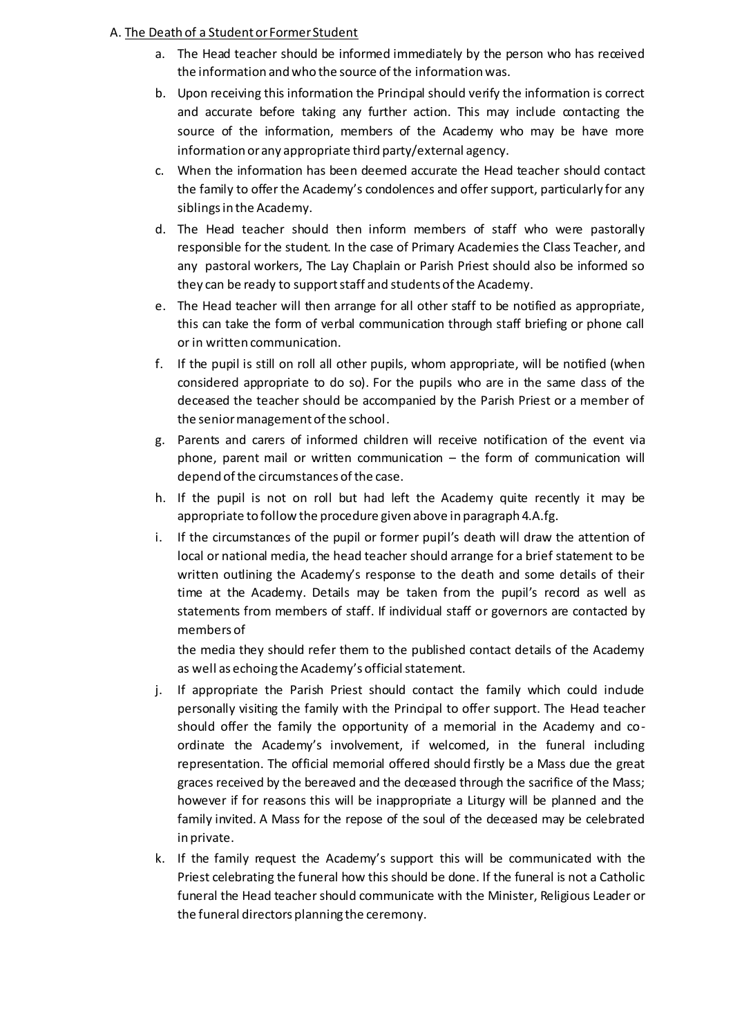## A. The Death of a Student or Former Student

- a. The Head teacher should be informed immediately by the person who has received the information and who the source of the information was.
- b. Upon receiving this information the Principal should verify the information is correct and accurate before taking any further action. This may include contacting the source of the information, members of the Academy who may be have more information or any appropriate third party/external agency.
- c. When the information has been deemed accurate the Head teacher should contact the family to offer the Academy's condolences and offer support, particularly for any siblings in the Academy.
- d. The Head teacher should then inform members of staff who were pastorally responsible for the student. In the case of Primary Academies the Class Teacher, and any pastoral workers, The Lay Chaplain or Parish Priest should also be informed so they can be ready to support staff and students of the Academy.
- e. The Head teacher will then arrange for all other staff to be notified as appropriate, this can take the form of verbal communication through staff briefing or phone call or in written communication.
- f. If the pupil is still on roll all other pupils, whom appropriate, will be notified (when considered appropriate to do so). For the pupils who are in the same dass of the deceased the teacher should be accompanied by the Parish Priest or a member of the senior management of the school.
- g. Parents and carers of informed children will receive notification of the event via phone, parent mail or written communication – the form of communication will depend of the circumstances of the case.
- h. If the pupil is not on roll but had left the Academy quite recently it may be appropriate to follow the procedure given above in paragraph 4.A.fg.
- i. If the circumstances of the pupil or former pupil's death will draw the attention of local or national media, the head teacher should arrange for a brief statement to be written outlining the Academy's response to the death and some details of their time at the Academy. Details may be taken from the pupil's record as well as statements from members of staff. If individual staff or governors are contacted by members of

the media they should refer them to the published contact details of the Academy as well as echoing the Academy's official statement.

- j. If appropriate the Parish Priest should contact the family which could include personally visiting the family with the Principal to offer support. The Head teacher should offer the family the opportunity of a memorial in the Academy and coordinate the Academy's involvement, if welcomed, in the funeral including representation. The official memorial offered should firstly be a Mass due the great graces received by the bereaved and the deceased through the sacrifice of the Mass; however if for reasons this will be inappropriate a Liturgy will be planned and the family invited. A Mass for the repose of the soul of the deceased may be celebrated in private.
- k. If the family request the Academy's support this will be communicated with the Priest celebrating the funeral how this should be done. If the funeral is not a Catholic funeral the Head teacher should communicate with the Minister, Religious Leader or the funeral directors planning the ceremony.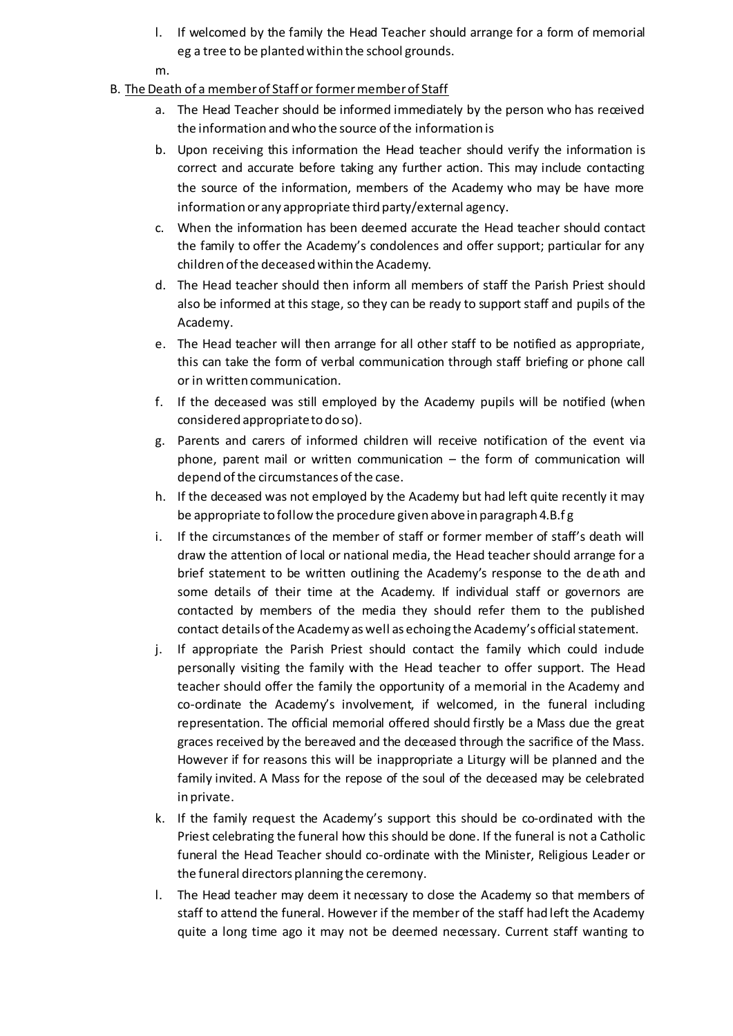- l. If welcomed by the family the Head Teacher should arrange for a form of memorial eg a tree to be planted within the school grounds.
- m.

## B. The Death of a member of Staff or former member of Staff

- a. The Head Teacher should be informed immediately by the person who has received the information and who the source of the information is
- b. Upon receiving this information the Head teacher should verify the information is correct and accurate before taking any further action. This may include contacting the source of the information, members of the Academy who may be have more information or any appropriate third party/external agency.
- c. When the information has been deemed accurate the Head teacher should contact the family to offer the Academy's condolences and offer support; particular for any children of the deceased within the Academy.
- d. The Head teacher should then inform all members of staff the Parish Priest should also be informed at this stage, so they can be ready to support staff and pupils of the Academy.
- e. The Head teacher will then arrange for all other staff to be notified as appropriate, this can take the form of verbal communication through staff briefing or phone call or in written communication.
- f. If the deceased was still employed by the Academy pupils will be notified (when considered appropriate to do so).
- g. Parents and carers of informed children will receive notification of the event via phone, parent mail or written communication – the form of communication will depend of the circumstances of the case.
- h. If the deceased was not employed by the Academy but had left quite recently it may be appropriate to follow the procedure given above in paragraph 4.B.f g
- i. If the circumstances of the member of staff or former member of staff's death will draw the attention of local or national media, the Head teachershould arrange for a brief statement to be written outlining the Academy's response to the death and some details of their time at the Academy. If individual staff or governors are contacted by members of the media they should refer them to the published contact details of the Academy as well as echoing the Academy's official statement.
- j. If appropriate the Parish Priest should contact the family which could include personally visiting the family with the Head teacher to offer support. The Head teacher should offer the family the opportunity of a memorial in the Academy and co-ordinate the Academy's involvement, if welcomed, in the funeral including representation. The official memorial offered should firstly be a Mass due the great graces received by the bereaved and the deceased through the sacrifice of the Mass. However if for reasons this will be inappropriate a Liturgy will be planned and the family invited. A Mass for the repose of the soul of the deceased may be celebrated in private.
- k. If the family request the Academy's support this should be co-ordinated with the Priest celebrating the funeral how this should be done. If the funeral is not a Catholic funeral the Head Teacher should co-ordinate with the Minister, Religious Leader or the funeral directors planning the ceremony.
- l. The Head teacher may deem it necessary to dose the Academy so that members of staff to attend the funeral. However if the member of the staff had left the Academy quite a long time ago it may not be deemed necessary. Current staff wanting to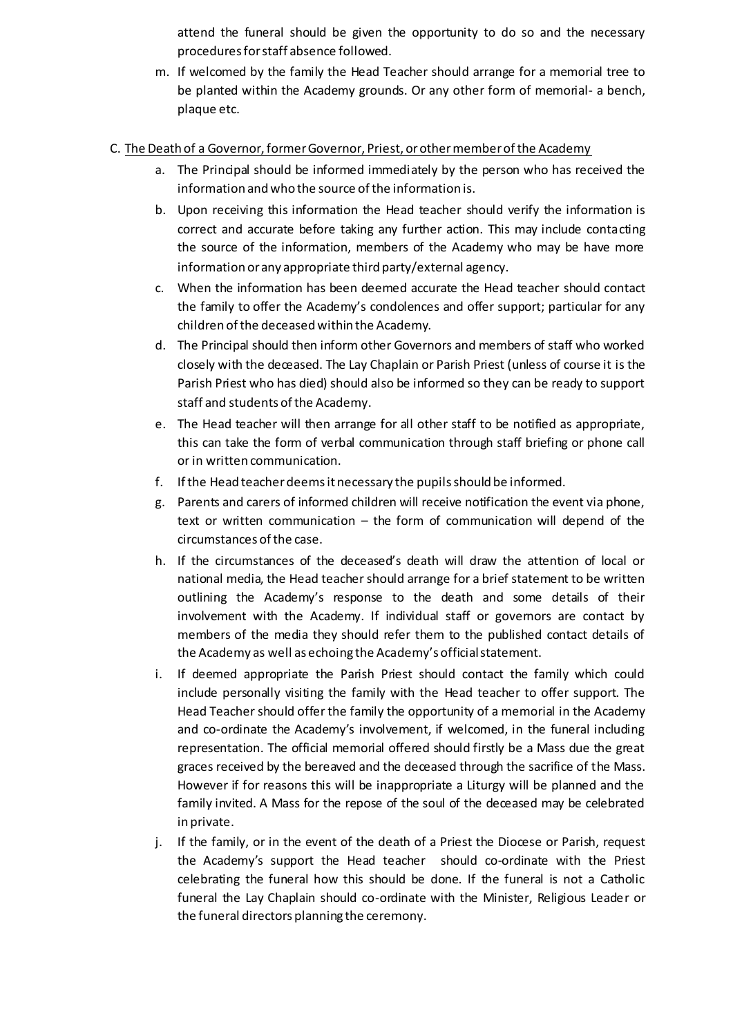attend the funeral should be given the opportunity to do so and the necessary procedures for staff absence followed.

- m. If welcomed by the family the Head Teacher should arrange for a memorial tree to be planted within the Academy grounds. Or any other form of memorial- a bench, plaque etc.
- C. The Death of a Governor, former Governor, Priest, or other member of the Academy
	- a. The Principal should be informed immediately by the person who has received the information and who the source of the information is.
	- b. Upon receiving this information the Head teacher should verify the information is correct and accurate before taking any further action. This may include contacting the source of the information, members of the Academy who may be have more information or any appropriate third party/external agency.
	- c. When the information has been deemed accurate the Head teacher should contact the family to offer the Academy's condolences and offer support; particular for any children of the deceased within the Academy.
	- d. The Principal should then inform other Governors and members of staff who worked closely with the deceased. The Lay Chaplain or Parish Priest (unless of course it is the Parish Priest who has died) should also be informed so they can be ready to support staff and students of the Academy.
	- e. The Head teacher will then arrange for all other staff to be notified as appropriate, this can take the form of verbal communication through staff briefing or phone call or in written communication.
	- f. If the Head teacher deems it necessary the pupils should be informed.
	- g. Parents and carers of informed children will receive notification the event via phone, text or written communication – the form of communication will depend of the circumstances of the case.
	- h. If the circumstances of the deceased's death will draw the attention of local or national media, the Head teacher should arrange for a brief statement to be written outlining the Academy's response to the death and some details of their involvement with the Academy. If individual staff or governors are contact by members of the media they should refer them to the published contact details of the Academy as well as echoing the Academy's official statement.
	- i. If deemed appropriate the Parish Priest should contact the family which could include personally visiting the family with the Head teacher to offer support. The Head Teacher should offer the family the opportunity of a memorial in the Academy and co-ordinate the Academy's involvement, if welcomed, in the funeral including representation. The official memorial offered should firstly be a Mass due the great graces received by the bereaved and the deceased through the sacrifice of the Mass. However if for reasons this will be inappropriate a Liturgy will be planned and the family invited. A Mass for the repose of the soul of the deceased may be celebrated in private.
	- j. If the family, or in the event of the death of a Priest the Diocese or Parish, request the Academy's support the Head teacher should co-ordinate with the Priest celebrating the funeral how this should be done. If the funeral is not a Catholic funeral the Lay Chaplain should co-ordinate with the Minister, Religious Leader or the funeral directors planning the ceremony.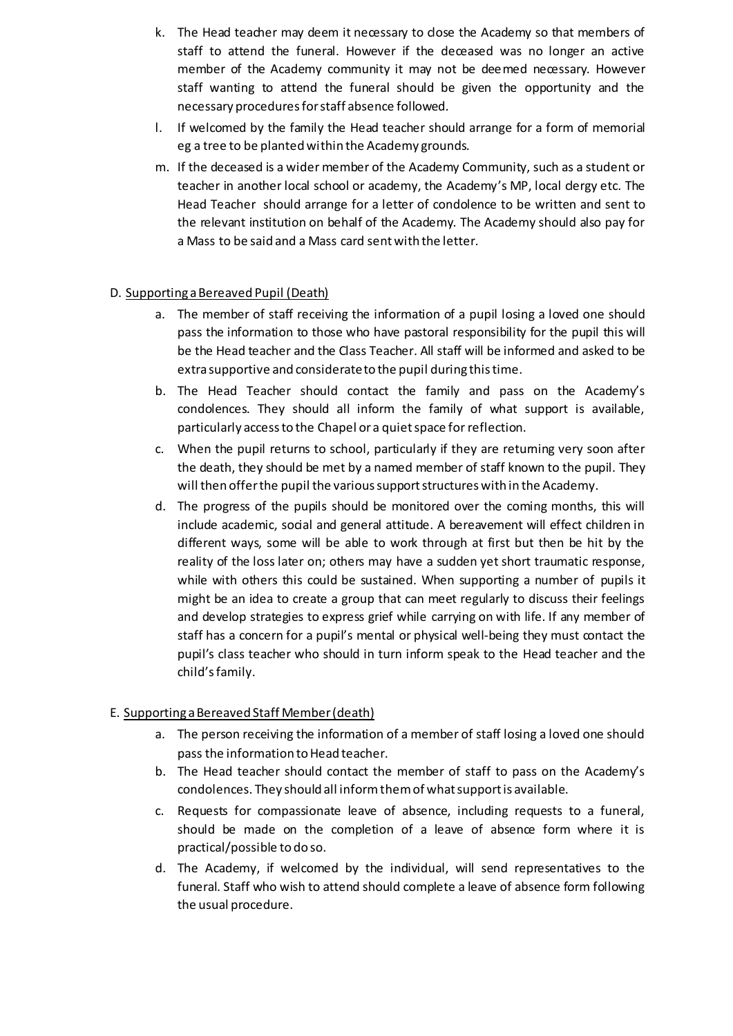- k. The Head teacher may deem it necessary to dose the Academy so that members of staff to attend the funeral. However if the deceased was no longer an active member of the Academy community it may not be deemed necessary. However staff wanting to attend the funeral should be given the opportunity and the necessary procedures for staff absence followed.
- l. If welcomed by the family the Head teacher should arrange for a form of memorial eg a tree to be planted within the Academy grounds.
- m. If the deceased is a wider member of the Academy Community, such as a student or teacher in another local school or academy, the Academy's MP, local clergy etc. The Head Teacher should arrange for a letter of condolence to be written and sent to the relevant institution on behalf of the Academy. The Academy should also pay for a Mass to be said and a Mass card sent with the letter.

## D. Supporting a Bereaved Pupil (Death)

- a. The member of staff receiving the information of a pupil losing a loved one should pass the information to those who have pastoral responsibility for the pupil this will be the Head teacher and the Class Teacher. All staff will be informed and asked to be extra supportive and considerate to the pupil during this time.
- b. The Head Teacher should contact the family and pass on the Academy's condolences. They should all inform the family of what support is available, particularly access to the Chapel or a quiet space for reflection.
- c. When the pupil returns to school, particularly if they are returning very soon after the death, they should be met by a named member of staff known to the pupil. They will then offer the pupil the various support structures with in the Academy.
- d. The progress of the pupils should be monitored over the coming months, this will include academic, social and general attitude. A bereavement will effect children in different ways, some will be able to work through at first but then be hit by the reality of the loss later on; others may have a sudden yet short traumatic response, while with others this could be sustained. When supporting a number of pupils it might be an idea to create a group that can meet regularly to discuss their feelings and develop strategies to express grief while carrying on with life. If any member of staff has a concern for a pupil's mental or physical well-being they must contact the pupil's class teacher who should in turn inform speak to the Head teacher and the child's family.

#### E. Supporting a Bereaved Staff Member (death)

- a. The person receiving the information of a member of staff losing a loved one should pass the information to Head teacher.
- b. The Head teacher should contact the member of staff to pass on the Academy's condolences. They should all inform them of what support is available.
- c. Requests for compassionate leave of absence, including requests to a funeral, should be made on the completion of a leave of absence form where it is practical/possible to do so.
- d. The Academy, if welcomed by the individual, will send representatives to the funeral. Staff who wish to attend should complete a leave of absence form following the usual procedure.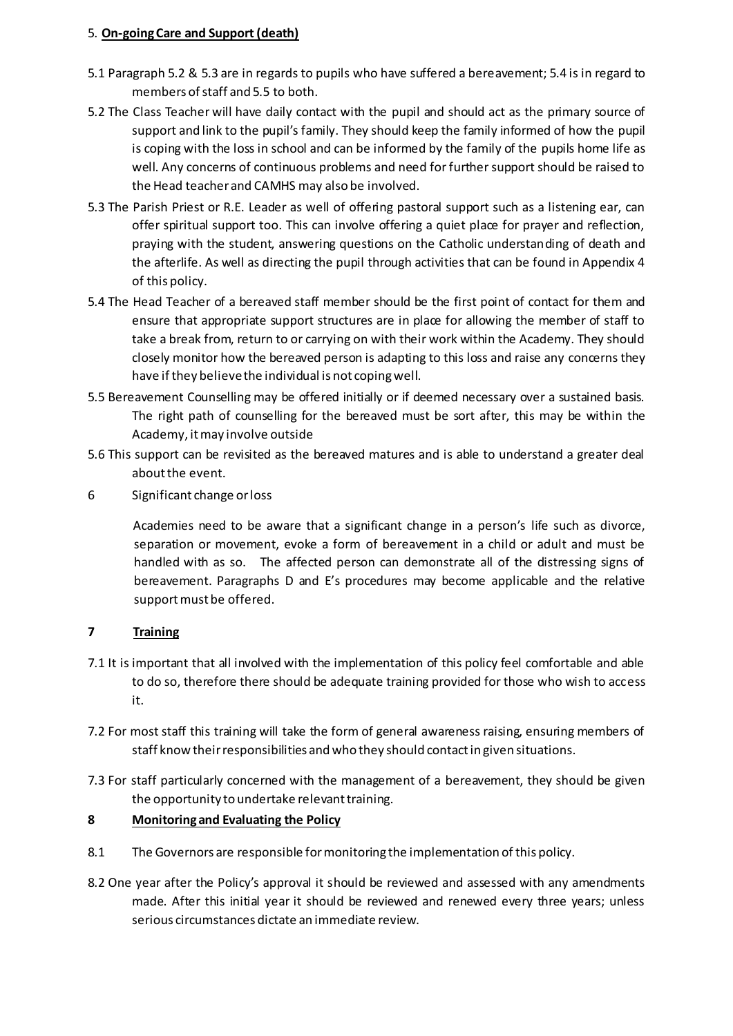## 5. **On-going Care and Support (death)**

- 5.1 Paragraph 5.2 & 5.3 are in regards to pupils who have suffered a bereavement; 5.4 is in regard to members of staff and 5.5 to both.
- 5.2 The Class Teacher will have daily contact with the pupil and should act as the primary source of support and link to the pupil's family. They should keep the family informed of how the pupil is coping with the loss in school and can be informed by the family of the pupils home life as well. Any concerns of continuous problems and need for further support should be raised to the Head teacher and CAMHS may also be involved.
- 5.3 The Parish Priest or R.E. Leader as well of offering pastoral support such as a listening ear, can offer spiritual support too. This can involve offering a quiet place for prayer and reflection, praying with the student, answering questions on the Catholic understanding of death and the afterlife. As well as directing the pupil through activities that can be found in Appendix 4 of this policy.
- 5.4 The Head Teacher of a bereaved staff member should be the first point of contact for them and ensure that appropriate support structures are in place for allowing the member of staff to take a break from, return to or carrying on with their work within the Academy. They should closely monitor how the bereaved person is adapting to this loss and raise any concerns they have if they believe the individual is not coping well.
- 5.5 Bereavement Counselling may be offered initially or if deemed necessary over a sustained basis. The right path of counselling for the bereaved must be sort after, this may be within the Academy, it may involve outside
- 5.6 This support can be revisited as the bereaved matures and is able to understand a greater deal about the event.
- 6 Significant change or loss

Academies need to be aware that a significant change in a person's life such as divorce, separation or movement, evoke a form of bereavement in a child or adult and must be handled with as so. The affected person can demonstrate all of the distressing signs of bereavement. Paragraphs D and E's procedures may become applicable and the relative support must be offered.

# **7 Training**

- 7.1 It is important that all involved with the implementation of this policy feel comfortable and able to do so, therefore there should be adequate training provided for those who wish to access it.
- 7.2 For most staff this training will take the form of general awareness raising, ensuring members of staff know their responsibilities and who they should contact in given situations.
- 7.3 For staff particularly concerned with the management of a bereavement, they should be given the opportunity to undertake relevant training.

# **8 Monitoring and Evaluating the Policy**

- 8.1 The Governors are responsible for monitoring the implementation of this policy.
- 8.2 One year after the Policy's approval it should be reviewed and assessed with any amendments made. After this initial year it should be reviewed and renewed every three years; unless serious circumstances dictate an immediate review.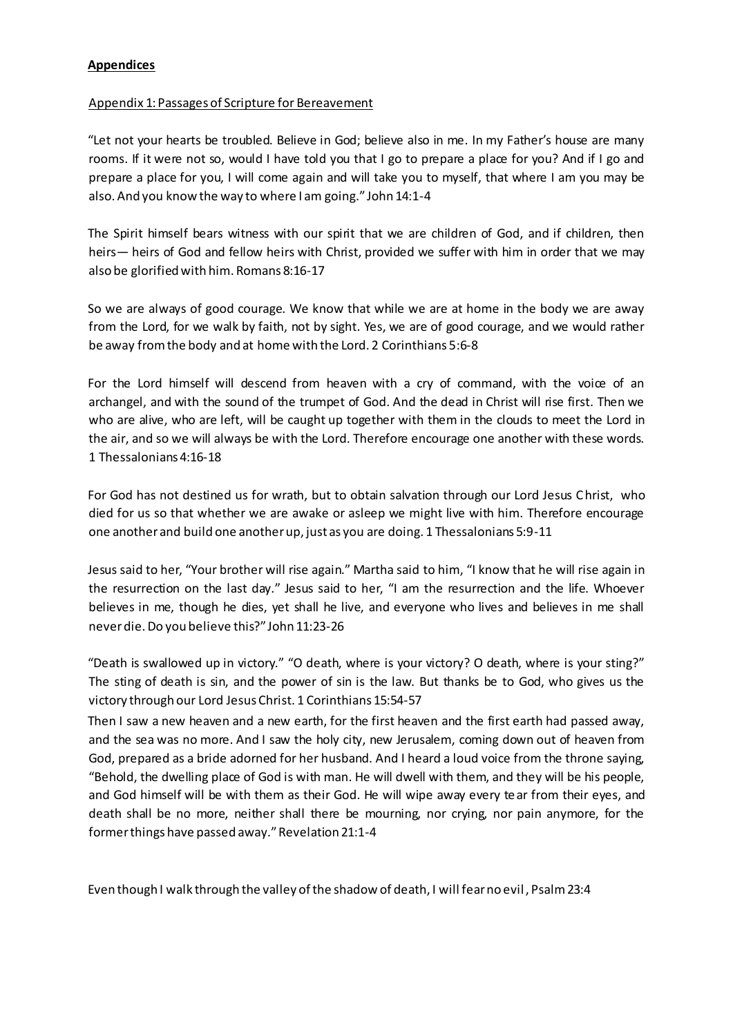#### **Appendices**

#### Appendix 1: Passages of Scripture for Bereavement

"Let not your hearts be troubled. Believe in God; believe also in me. In my Father's house are many rooms. If it were not so, would I have told you that I go to prepare a place for you? And if I go and prepare a place for you, I will come again and will take you to myself, that where I am you may be also. And you know the way to where I am going." John 14:1-4

The Spirit himself bears witness with our spirit that we are children of God, and if children, then heirs— heirs of God and fellow heirs with Christ, provided we suffer with him in order that we may also be glorified with him. Romans 8:16-17

So we are always of good courage. We know that while we are at home in the body we are away from the Lord, for we walk by faith, not by sight. Yes, we are of good courage, and we would rather be away from the body and at home with the Lord. 2 Corinthians 5:6-8

For the Lord himself will descend from heaven with a cry of command, with the voice of an archangel, and with the sound of the trumpet of God. And the dead in Christ will rise first. Then we who are alive, who are left, will be caught up together with them in the clouds to meet the Lord in the air, and so we will always be with the Lord. Therefore encourage one another with these words. 1 Thessalonians 4:16-18

For God has not destined us for wrath, but to obtain salvation through our Lord Jesus Christ, who died for us so that whether we are awake or asleep we might live with him. Therefore encourage one another and build one another up, just as you are doing. 1 Thessalonians 5:9-11

Jesus said to her, "Your brother will rise again." Martha said to him, "I know that he will rise again in the resurrection on the last day." Jesus said to her, "I am the resurrection and the life. Whoever believes in me, though he dies, yet shall he live, and everyone who lives and believes in me shall never die. Do you believe this?" John 11:23-26

"Death is swallowed up in victory." "O death, where is your victory? O death, where is your sting?" The sting of death is sin, and the power of sin is the law. But thanks be to God, who gives us the victory through our Lord Jesus Christ. 1 Corinthians 15:54-57

Then I saw a new heaven and a new earth, for the first heaven and the first earth had passed away, and the sea was no more. And I saw the holy city, new Jerusalem, coming down out of heaven from God, prepared as a bride adorned for her husband. And I heard a loud voice from the throne saying, "Behold, the dwelling place of God is with man. He will dwell with them, and they will be his people, and God himself will be with them as their God. He will wipe away every tear from their eyes, and death shall be no more, neither shall there be mourning, nor crying, nor pain anymore, for the former things have passed away." Revelation 21:1-4

Even though I walk through the valley of the shadow of death, I will fear no evil , Psalm 23:4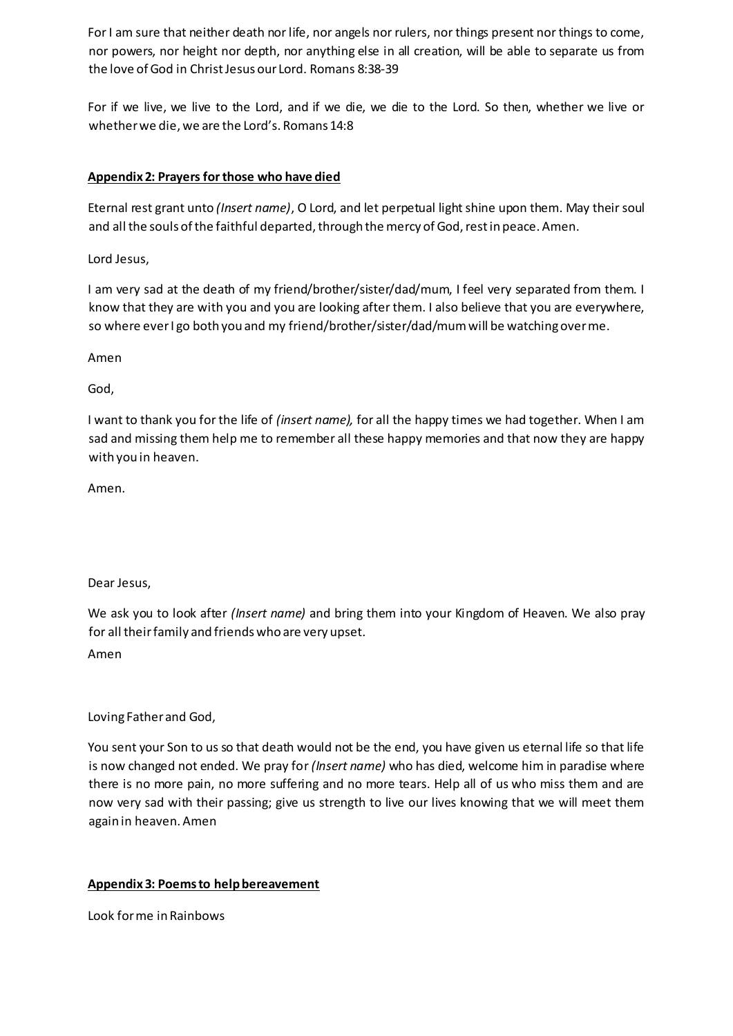For I am sure that neither death nor life, nor angels nor rulers, nor things present nor things to come, nor powers, nor height nor depth, nor anything else in all creation, will be able to separate us from the love of God in Christ Jesus our Lord. Romans 8:38-39

For if we live, we live to the Lord, and if we die, we die to the Lord. So then, whether we live or whether we die, we are the Lord's. Romans 14:8

## **Appendix 2: Prayers for those who have died**

Eternal rest grant unto *(Insert name)*, O Lord, and let perpetual light shine upon them. May their soul and all the souls of the faithful departed, through the mercy of God, rest in peace. Amen.

Lord Jesus,

I am very sad at the death of my friend/brother/sister/dad/mum, I feel very separated from them. I know that they are with you and you are looking after them. I also believe that you are everywhere, so where ever I go both you and my friend/brother/sister/dad/mum will be watching over me.

Amen

God,

I want to thank you for the life of *(insert name),* for all the happy times we had together. When I am sad and missing them help me to remember all these happy memories and that now they are happy with you in heaven.

Amen.

Dear Jesus,

We ask you to look after *(Insert name)* and bring them into your Kingdom of Heaven. We also pray for all their family and friends who are very upset. Amen

Loving Father and God,

You sent your Son to us so that death would not be the end, you have given us eternal life so that life is now changed not ended. We pray for *(Insert name)* who has died, welcome him in paradise where there is no more pain, no more suffering and no more tears. Help all of us who miss them and are now very sad with their passing; give us strength to live our lives knowing that we will meet them again in heaven. Amen

## **Appendix 3: Poems to help bereavement**

Look for me in Rainbows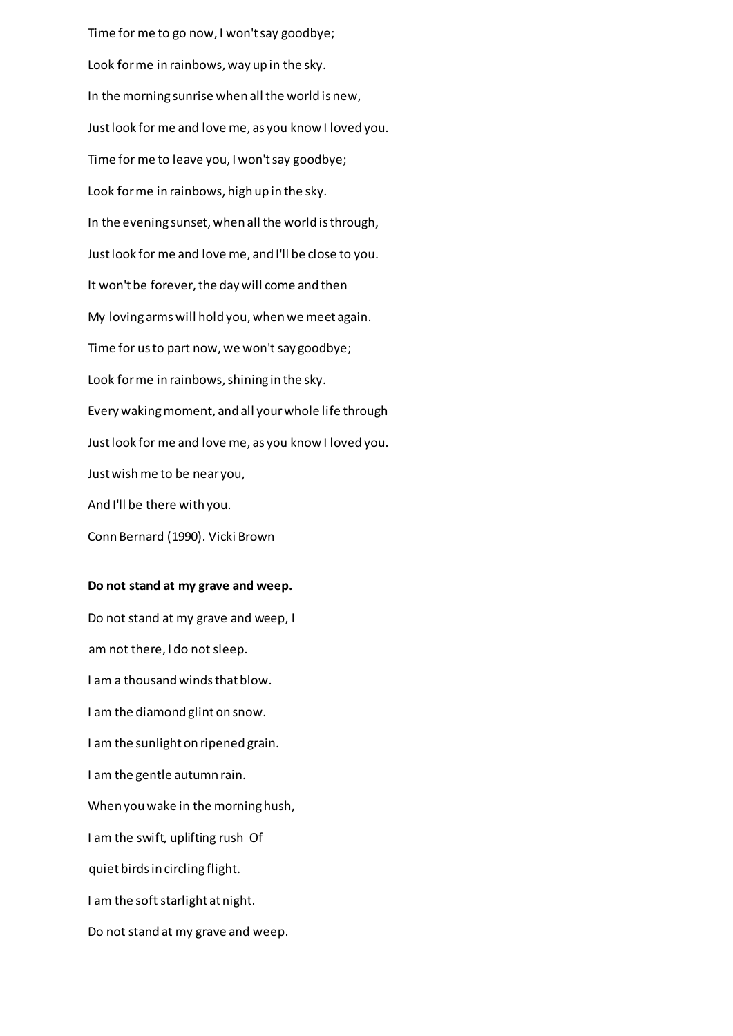Time for me to go now, I won't say goodbye; Look for me in rainbows, way up in the sky. In the morning sunrise when all the world is new, Just look for me and love me, as you know I loved you. Time for me to leave you, I won't say goodbye; Look for me in rainbows, high up in the sky. In the evening sunset, when all the world is through, Just look for me and love me, and I'll be close to you. It won't be forever, the day will come and then My loving arms will hold you, when we meet again. Time for us to part now, we won't say goodbye; Look for me in rainbows, shining in the sky. Every waking moment, and all your whole life through Just look for me and love me, as you know I loved you. Just wish me to be near you, And I'll be there with you. Conn Bernard (1990). Vicki Brown

#### **Do not stand at my grave and weep.**

Do not stand at my grave and weep, I am not there, I do not sleep. I am a thousand winds that blow. I am the diamond glint on snow. I am the sunlight on ripened grain. I am the gentle autumn rain. When you wake in the morning hush, I am the swift, uplifting rush Of quiet birds in circling flight. I am the soft starlight at night. Do not stand at my grave and weep.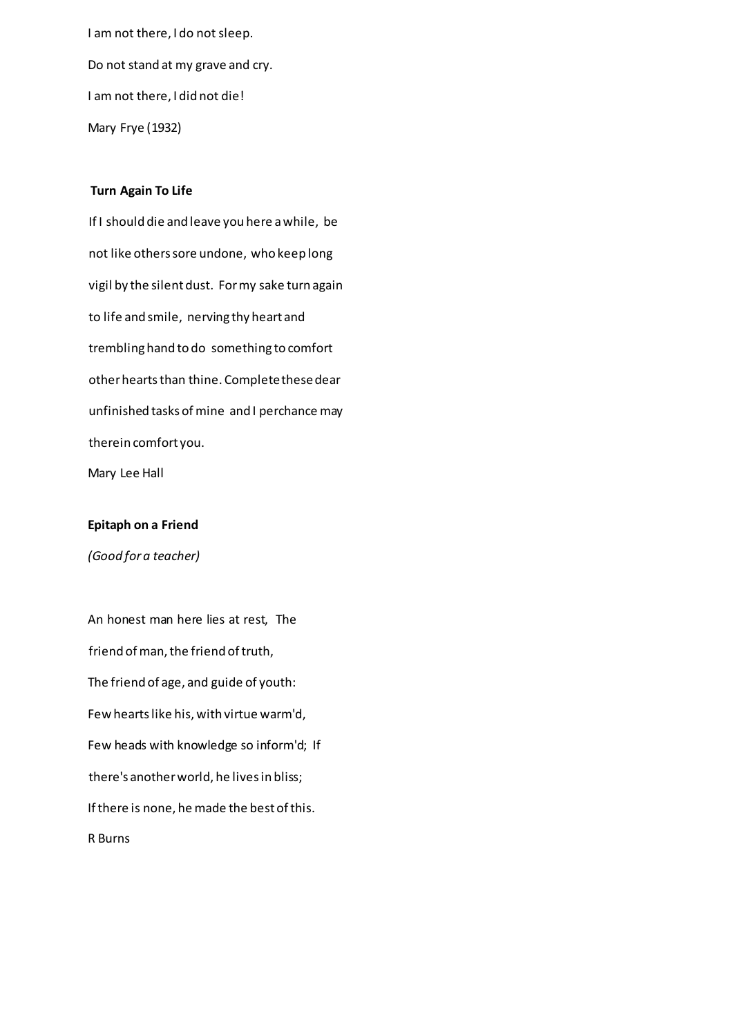I am not there, I do not sleep. Do not stand at my grave and cry. I am not there, I did not die! Mary Frye (1932)

#### **Turn Again To Life**

If I should die and leave you here a while, be not like others sore undone, who keep long vigil by the silent dust. For my sake turn again to life and smile, nerving thy heart and trembling hand to do something to comfort other hearts than thine. Complete these dear unfinished tasks of mine and I perchance may therein comfort you. Mary Lee Hall

#### **Epitaph on a Friend**

*(Good for a teacher)* 

An honest man here lies at rest, The friend of man, the friend of truth, The friend of age, and guide of youth: Few hearts like his, with virtue warm'd, Few heads with knowledge so inform'd; If there's another world, he lives in bliss; If there is none, he made the best of this. R Burns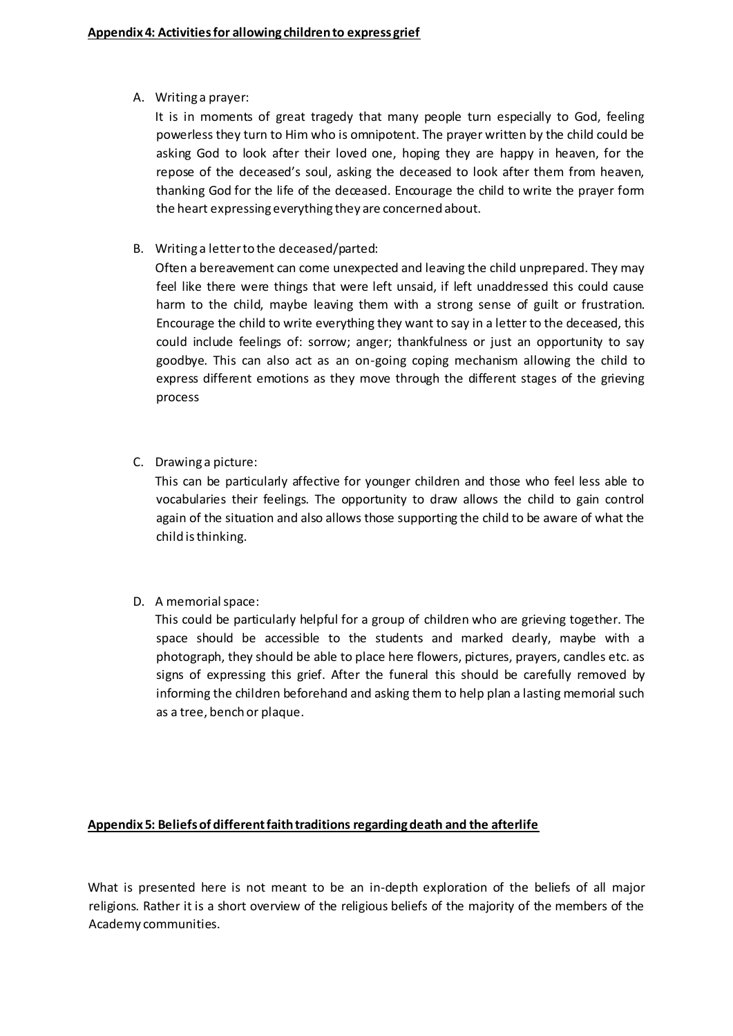A. Writing a prayer:

It is in moments of great tragedy that many people turn especially to God, feeling powerless they turn to Him who is omnipotent. The prayer written by the child could be asking God to look after their loved one, hoping they are happy in heaven, for the repose of the deceased's soul, asking the deceased to look after them from heaven, thanking God for the life of the deceased. Encourage the child to write the prayer form the heart expressing everything they are concerned about.

B. Writing a letter to the deceased/parted:

Often a bereavement can come unexpected and leaving the child unprepared. They may feel like there were things that were left unsaid, if left unaddressed this could cause harm to the child, maybe leaving them with a strong sense of guilt or frustration. Encourage the child to write everything they want to say in a letter to the deceased, this could include feelings of: sorrow; anger; thankfulness or just an opportunity to say goodbye. This can also act as an on-going coping mechanism allowing the child to express different emotions as they move through the different stages of the grieving process

C. Drawing a picture:

This can be particularly affective for younger children and those who feel less able to vocabularies their feelings. The opportunity to draw allows the child to gain control again of the situation and also allows those supporting the child to be aware of what the child is thinking.

D. A memorial space:

This could be particularly helpful for a group of children who are grieving together. The space should be accessible to the students and marked dearly, maybe with a photograph, they should be able to place here flowers, pictures, prayers, candles etc. as signs of expressing this grief. After the funeral this should be carefully removed by informing the children beforehand and asking them to help plan a lasting memorial such as a tree, bench or plaque.

## **Appendix 5: Beliefs of different faith traditions regarding death and the afterlife**

What is presented here is not meant to be an in-depth exploration of the beliefs of all major religions. Rather it is a short overview of the religious beliefs of the majority of the members of the Academy communities.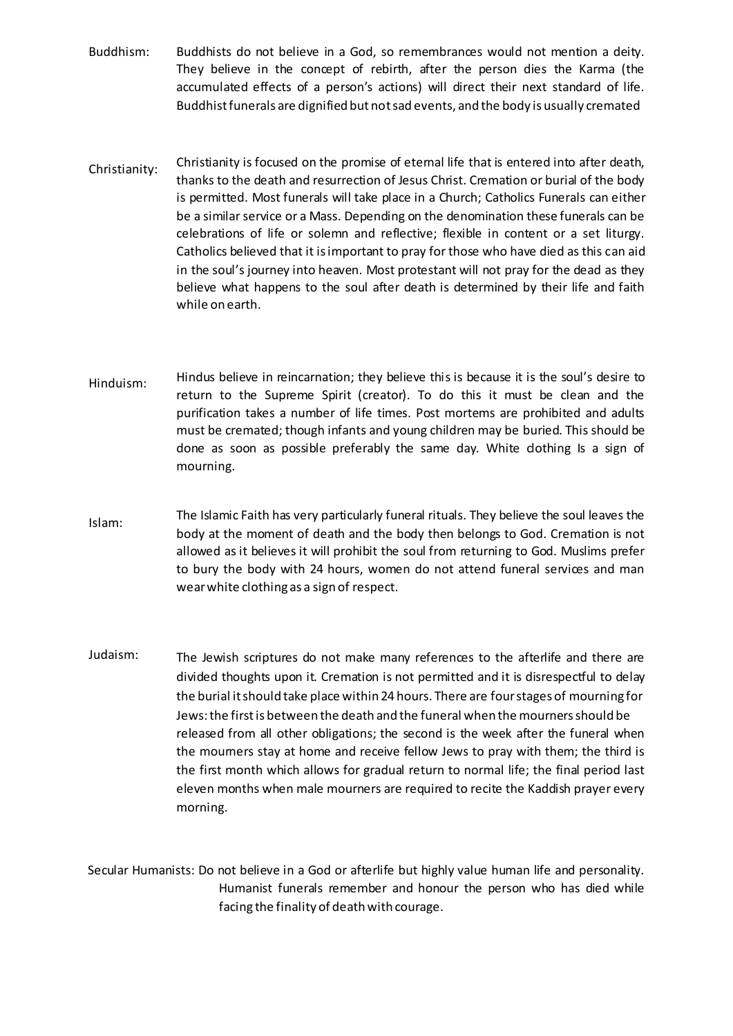- Buddhism: Buddhists do not believe in a God, so remembrances would not mention a deity. They believe in the concept of rebirth, after the person dies the Karma (the accumulated effects of a person's actions) will direct their next standard of life. Buddhist funerals are dignified but not sad events, and the body is usually cremated
- Christianity: Christianity is focused on the promise of eternal life that is entered into after death, thanks to the death and resurrection of Jesus Christ. Cremation or burial of the body is permitted. Most funerals will take place in a Church; Catholics Funerals can either be a similar service or a Mass. Depending on the denomination these funerals can be celebrations of life or solemn and reflective; flexible in content or a set liturgy. Catholics believed that it is important to pray for those who have died as this can aid in the soul's journey into heaven. Most protestant will not pray for the dead as they believe what happens to the soul after death is determined by their life and faith while on earth.
- Hinduism: Hindus believe in reincarnation; they believe this is because it is the soul's desire to return to the Supreme Spirit (creator). To do this it must be clean and the purification takes a number of life times. Post mortems are prohibited and adults must be cremated; though infants and young children may be buried. This should be done as soon as possible preferably the same day. White dothing Is a sign of mourning.
- Islam: The Islamic Faith has very particularly funeral rituals. They believe the soul leaves the body at the moment of death and the body then belongs to God. Cremation is not allowed as it believes it will prohibit the soul from returning to God. Muslims prefer to bury the body with 24 hours, women do not attend funeral services and man wear white clothing as a sign of respect.
- Judaism: The Jewish scriptures do not make many references to the afterlife and there are divided thoughts upon it. Cremation is not permitted and it is disrespectful to delay the burial it should take place within 24 hours. There are four stages of mourning for Jews: the first is between the death and the funeral when the mourners should be released from all other obligations; the second is the week after the funeral when the mourners stay at home and receive fellow Jews to pray with them; the third is the first month which allows for gradual return to normal life; the final period last eleven months when male mourners are required to recite the Kaddish prayer every morning.

Secular Humanists: Do not believe in a God or afterlife but highly value human life and personality. Humanist funerals remember and honour the person who has died while facing the finality of death with courage.